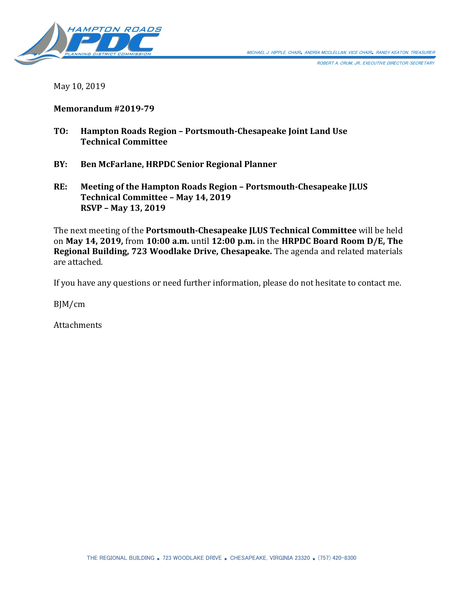

ROBERT A. CRUM, JR., EXECUTIVE DIRECTOR/SECRETARY

May 10, 2019

# **Memorandum #2019-79**

- **TO: Hampton Roads Region – Portsmouth-Chesapeake Joint Land Use Technical Committee**
- **BY: Ben McFarlane, HRPDC Senior Regional Planner**
- **RE: Meeting of the Hampton Roads Region – Portsmouth-Chesapeake JLUS Technical Committee – May 14, 2019 RSVP – May 13, 2019**

The next meeting of the **Portsmouth-Chesapeake JLUS Technical Committee** will be held on **May 14, 2019,** from **10:00 a.m.** until **12:00 p.m.** in the **HRPDC Board Room D/E, The Regional Building, 723 Woodlake Drive, Chesapeake.** The agenda and related materials are attached.

If you have any questions or need further information, please do not hesitate to contact me.

BJM/cm

Attachments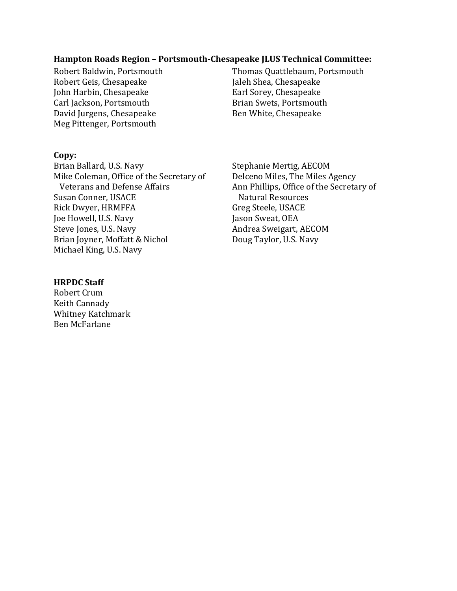## **Hampton Roads Region – Portsmouth-Chesapeake JLUS Technical Committee:**

Robert Geis, Chesapeake Jaleh Shea, Chesapeake<br>John Harbin, Chesapeake John Harbin, Chesapeake John Harbin, Chesapeake<br>
Carl Jackson, Portsmouth<br>
Earl Sorey, Chesapeake<br>
Brian Swets, Portsmouth Carl Jackson, Portsmouth Brian Swets, Portsmouth<br>David Jurgens, Chesapeake Ben White, Chesapeake David Jurgens, Chesapeake Meg Pittenger, Portsmouth

Robert Baldwin, Portsmouth Thomas Quattlebaum, Portsmouth<br>Robert Geis, Chesapeake Jaleh Shea, Chesapeake

#### **Copy:**

Brian Ballard, U.S. Navy Stephanie Mertig, AECOM<br>Mike Coleman, Office of the Secretary of Delceno Miles, The Miles Agency Mike Coleman, Office of the Secretary of<br>Veterans and Defense Affairs Susan Conner, USACE Natural Resources<br>Rick Dwyer, HRMFFA Greg Steele, USACE Rick Dwyer, HRMFFA Greg Steele, USAC<br>Toe Howell, U.S. Navy Greg Steele, OCA Joe Howell, U.S. Navy<br>Steve Jones, U.S. Navy Brian Joyner, Moffatt & Nichol Michael King, U.S. Navy

Ann Phillips, Office of the Secretary of<br>Natural Resources Andrea Sweigart, AECOM<br>Doug Taylor, U.S. Navy

#### **HRPDC Staff**

Robert Crum Keith Cannady Whitney Katchmark Ben McFarlane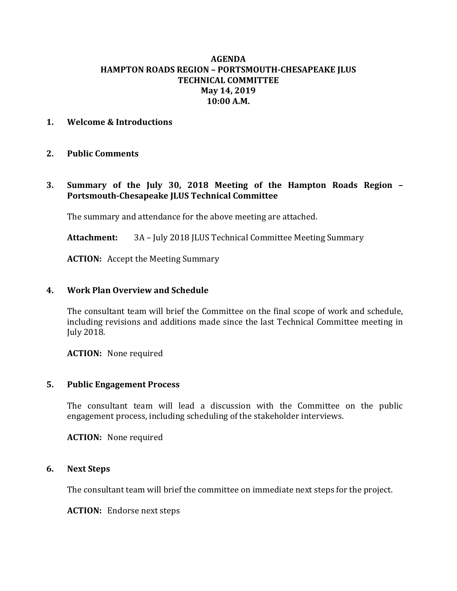# **AGENDA HAMPTON ROADS REGION – PORTSMOUTH-CHESAPEAKE JLUS TECHNICAL COMMITTEE May 14, 2019 10:00 A.M.**

# **1. Welcome & Introductions**

## **2. Public Comments**

**3. Summary of the July 30, 2018 Meeting of the Hampton Roads Region – Portsmouth-Chesapeake JLUS Technical Committee**

The summary and attendance for the above meeting are attached.

**Attachment:** 3A – July 2018 JLUS Technical Committee Meeting Summary

**ACTION:** Accept the Meeting Summary

#### **4. Work Plan Overview and Schedule**

The consultant team will brief the Committee on the final scope of work and schedule, including revisions and additions made since the last Technical Committee meeting in July 2018.

**ACTION:** None required

#### **5. Public Engagement Process**

The consultant team will lead a discussion with the Committee on the public engagement process, including scheduling of the stakeholder interviews.

**ACTION:** None required

#### **6. Next Steps**

The consultant team will brief the committee on immediate next steps for the project.

**ACTION:** Endorse next steps